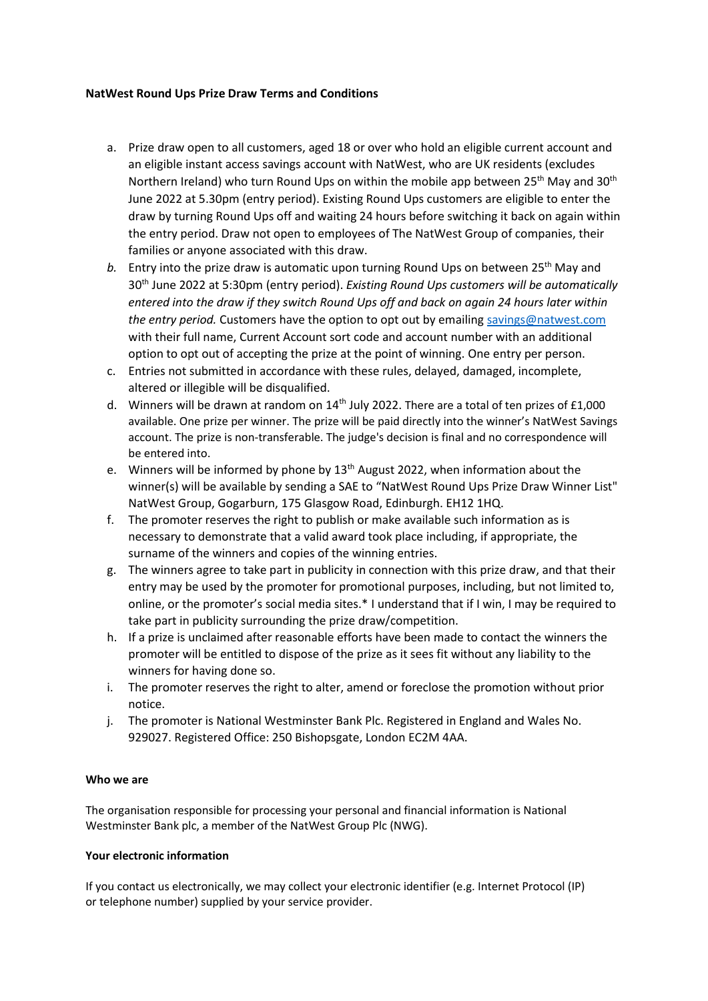## **NatWest Round Ups Prize Draw Terms and Conditions**

- a. Prize draw open to all customers, aged 18 or over who hold an eligible current account and an eligible instant access savings account with NatWest, who are UK residents (excludes Northern Ireland) who turn Round Ups on within the mobile app between 25<sup>th</sup> May and 30<sup>th</sup> June 2022 at 5.30pm (entry period). Existing Round Ups customers are eligible to enter the draw by turning Round Ups off and waiting 24 hours before switching it back on again within the entry period. Draw not open to employees of The NatWest Group of companies, their families or anyone associated with this draw.
- b. Entry into the prize draw is automatic upon turning Round Ups on between 25<sup>th</sup> May and 30th June 2022 at 5:30pm (entry period). *Existing Round Ups customers will be automatically entered into the draw if they switch Round Ups off and back on again 24 hours later within the entry period.* Customers have the option to opt out by emailing [savings@natwest.com](mailto:savings@natwest.com) with their full name, Current Account sort code and account number with an additional option to opt out of accepting the prize at the point of winning. One entry per person.
- c. Entries not submitted in accordance with these rules, delayed, damaged, incomplete, altered or illegible will be disqualified.
- d. Winners will be drawn at random on 14<sup>th</sup> July 2022. There are a total of ten prizes of £1,000 available. One prize per winner. The prize will be paid directly into the winner's NatWest Savings account. The prize is non-transferable. The judge's decision is final and no correspondence will be entered into.
- e. Winners will be informed by phone by  $13<sup>th</sup>$  August 2022, when information about the winner(s) will be available by sending a SAE to "NatWest Round Ups Prize Draw Winner List" NatWest Group, Gogarburn, 175 Glasgow Road, Edinburgh. EH12 1HQ.
- f. The promoter reserves the right to publish or make available such information as is necessary to demonstrate that a valid award took place including, if appropriate, the surname of the winners and copies of the winning entries.
- g. The winners agree to take part in publicity in connection with this prize draw, and that their entry may be used by the promoter for promotional purposes, including, but not limited to, online, or the promoter's social media sites.\* I understand that if I win, I may be required to take part in publicity surrounding the prize draw/competition.
- h. If a prize is unclaimed after reasonable efforts have been made to contact the winners the promoter will be entitled to dispose of the prize as it sees fit without any liability to the winners for having done so.
- i. The promoter reserves the right to alter, amend or foreclose the promotion without prior notice.
- j. The promoter is National Westminster Bank Plc. Registered in England and Wales No. 929027. Registered Office: 250 Bishopsgate, London EC2M 4AA.

## **Who we are**

The organisation responsible for processing your personal and financial information is National Westminster Bank plc, a member of the NatWest Group Plc (NWG).

## **Your electronic information**

If you contact us electronically, we may collect your electronic identifier (e.g. Internet Protocol (IP) or telephone number) supplied by your service provider.